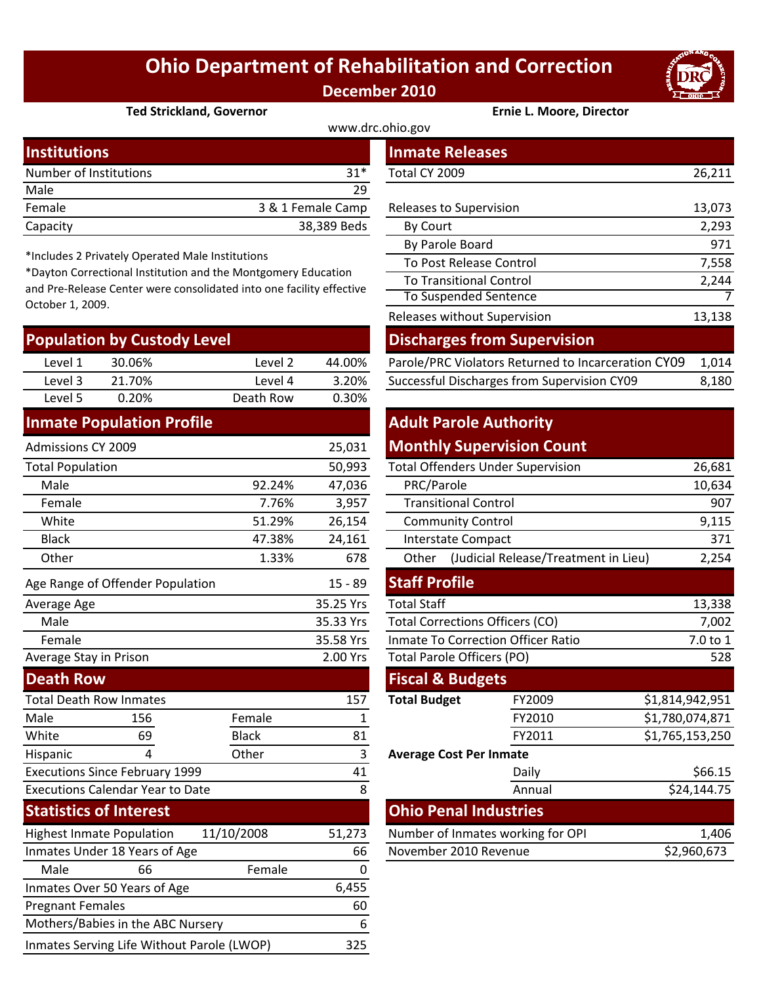## **Ohio Department of Rehabilitation and Correction December 2010**



#### **Ted Strickland, Governor Ernie L. Moore, Director**

| www.drc.ohio.gov       |                   |                         |        |  |  |  |
|------------------------|-------------------|-------------------------|--------|--|--|--|
| <b>Institutions</b>    |                   | <b>Inmate Releases</b>  |        |  |  |  |
| Number of Institutions | $31*$             | Total CY 2009           | 26,211 |  |  |  |
| Male                   | 29                |                         |        |  |  |  |
| Female                 | 3 & 1 Female Camp | Releases to Supervision | 13,073 |  |  |  |
| Capacity               | 38,389 Beds       | <b>By Court</b>         | 2,293  |  |  |  |

\*Includes 2 Privately Operated Male Institutions

\*Dayton Correctional Institution and the Montgomery Education and Pre‐Release Center were consolidated into one facility effective October 1, 2009.

| <b>Population by Custody Level</b> |        |           |        | <b>Discharges from Supervision</b>                  |       |  |
|------------------------------------|--------|-----------|--------|-----------------------------------------------------|-------|--|
| Level 1                            | 30.06% | Level 2   | 44.00% | Parole/PRC Violators Returned to Incarceration CY09 | 1.014 |  |
| Level 3                            | 21.70% | Level 4   | 3.20%  | Successful Discharges from Supervision CY09         | 8,180 |  |
| Level 5                            | 0.20%  | Death Row | 0.30%  |                                                     |       |  |
|                                    |        |           |        |                                                     |       |  |

#### **Inmate Population Profile**

| 25,031<br>Admissions CY 2009            |                                   |              | <b>Monthly Supervision Count</b> |                                           |                                            |                 |
|-----------------------------------------|-----------------------------------|--------------|----------------------------------|-------------------------------------------|--------------------------------------------|-----------------|
|                                         | 50,993<br><b>Total Population</b> |              |                                  | <b>Total Offenders Under Supervision</b>  |                                            | 26,681          |
| Male                                    |                                   | 92.24%       | 47,036                           | PRC/Parole                                |                                            | 10,634          |
| Female                                  |                                   | 7.76%        | 3,957                            | <b>Transitional Control</b>               |                                            | 907             |
| White                                   |                                   | 51.29%       | 26,154                           | <b>Community Control</b>                  |                                            | 9,115           |
| <b>Black</b>                            |                                   | 47.38%       | 24,161                           | <b>Interstate Compact</b>                 |                                            | 371             |
| Other                                   |                                   | 1.33%        | 678                              |                                           | Other (Judicial Release/Treatment in Lieu) | 2,254           |
|                                         | Age Range of Offender Population  |              | $15 - 89$                        | <b>Staff Profile</b>                      |                                            |                 |
| Average Age                             |                                   |              | 35.25 Yrs                        | <b>Total Staff</b>                        |                                            | 13,338          |
| Male                                    |                                   |              | 35.33 Yrs                        | <b>Total Corrections Officers (CO)</b>    | 7,002                                      |                 |
| Female                                  |                                   |              | 35.58 Yrs                        | <b>Inmate To Correction Officer Ratio</b> | 7.0 to 1                                   |                 |
|                                         | Average Stay in Prison            |              | 2.00 Yrs                         | Total Parole Officers (PO)                |                                            | 528             |
| <b>Death Row</b>                        |                                   |              |                                  | <b>Fiscal &amp; Budgets</b>               |                                            |                 |
| <b>Total Death Row Inmates</b>          |                                   |              | 157                              | <b>Total Budget</b>                       | FY2009                                     | \$1,814,942,951 |
| Male                                    | 156                               | Female       | 1                                |                                           | FY2010                                     | \$1,780,074,871 |
| White                                   | 69                                | <b>Black</b> | 81                               |                                           | FY2011                                     | \$1,765,153,250 |
| Hispanic                                | 4                                 | Other        | 3                                | <b>Average Cost Per Inmate</b>            |                                            |                 |
| <b>Executions Since February 1999</b>   |                                   |              | 41                               |                                           | Daily                                      | \$66.15         |
| <b>Executions Calendar Year to Date</b> |                                   |              | 8                                |                                           | Annual                                     | \$24,144.75     |
|                                         | <b>Statistics of Interest</b>     |              |                                  | <b>Ohio Penal Industries</b>              |                                            |                 |
|                                         | <b>Highest Inmate Population</b>  | 11/10/2008   | 51,273                           | Number of Inmates working for OPI         |                                            | 1,406           |
| Inmates Under 18 Years of Age           |                                   | 66           | November 2010 Revenue            |                                           | \$2,960,673                                |                 |
| Male                                    | 66                                | Female       | 0                                |                                           |                                            |                 |
|                                         | Inmates Over 50 Years of Age      |              | 6,455                            |                                           |                                            |                 |
| <b>Pregnant Females</b>                 |                                   |              | 60                               |                                           |                                            |                 |

Mothers/Babies in the ABC Nursery 6 Inmates Serving Life Without Parole (LWOP) 325

|                                                                                                                                                                                                  | mber of Institutions      |                    | $31*$             | Total CY 2009                                       | 26,211 |
|--------------------------------------------------------------------------------------------------------------------------------------------------------------------------------------------------|---------------------------|--------------------|-------------------|-----------------------------------------------------|--------|
| le.                                                                                                                                                                                              |                           |                    | 29                |                                                     |        |
| nale                                                                                                                                                                                             |                           |                    | 3 & 1 Female Camp | Releases to Supervision                             | 13,073 |
| acity                                                                                                                                                                                            |                           |                    | 38,389 Beds       | By Court                                            | 2,293  |
|                                                                                                                                                                                                  |                           |                    |                   | By Parole Board                                     | 971    |
| cludes 2 Privately Operated Male Institutions<br>yton Correctional Institution and the Montgomery Education<br>Pre-Release Center were consolidated into one facility effective<br>ober 1, 2009. |                           |                    |                   | To Post Release Control                             | 7,558  |
|                                                                                                                                                                                                  |                           |                    |                   | <b>To Transitional Control</b>                      | 2,244  |
|                                                                                                                                                                                                  |                           |                    |                   | To Suspended Sentence                               |        |
|                                                                                                                                                                                                  |                           |                    |                   | Releases without Supervision                        | 13,138 |
|                                                                                                                                                                                                  | pulation by Custody Level |                    |                   | <b>Discharges from Supervision</b>                  |        |
| Level 1                                                                                                                                                                                          | 30.06%                    | Level <sub>2</sub> | 44.00%            | Parole/PRC Violators Returned to Incarceration CY09 | 1,014  |
| <b>F</b> lavel                                                                                                                                                                                   | 21 70%                    | PVAL               | 3.20%             | Successful Discharges from Supervision CY09         | 8.180  |

### **Adult Parole Authority Monthly Supervision Count**

| 50,993    |                                        |                          | 26,681                                                                                                                                                                                                                                                                                                                                                                              |  |  |
|-----------|----------------------------------------|--------------------------|-------------------------------------------------------------------------------------------------------------------------------------------------------------------------------------------------------------------------------------------------------------------------------------------------------------------------------------------------------------------------------------|--|--|
| 47,036    | PRC/Parole                             | 10,634                   |                                                                                                                                                                                                                                                                                                                                                                                     |  |  |
| 3,957     |                                        | 907                      |                                                                                                                                                                                                                                                                                                                                                                                     |  |  |
| 26,154    |                                        | <b>Community Control</b> |                                                                                                                                                                                                                                                                                                                                                                                     |  |  |
| 24,161    |                                        |                          | 371                                                                                                                                                                                                                                                                                                                                                                                 |  |  |
| 678       | Other                                  |                          | 2,254                                                                                                                                                                                                                                                                                                                                                                               |  |  |
| $15 - 89$ |                                        |                          |                                                                                                                                                                                                                                                                                                                                                                                     |  |  |
| 35.25 Yrs | <b>Total Staff</b>                     |                          | 13,338                                                                                                                                                                                                                                                                                                                                                                              |  |  |
| 35.33 Yrs | <b>Total Corrections Officers (CO)</b> |                          |                                                                                                                                                                                                                                                                                                                                                                                     |  |  |
| 35.58 Yrs |                                        | 7.0 to 1                 |                                                                                                                                                                                                                                                                                                                                                                                     |  |  |
| 2.00 Yrs  |                                        | 528                      |                                                                                                                                                                                                                                                                                                                                                                                     |  |  |
|           |                                        |                          |                                                                                                                                                                                                                                                                                                                                                                                     |  |  |
| 157       | <b>Total Budget</b>                    | FY2009                   | \$1,814,942,951                                                                                                                                                                                                                                                                                                                                                                     |  |  |
| 1         |                                        | FY2010                   | \$1,780,074,871                                                                                                                                                                                                                                                                                                                                                                     |  |  |
| 81        |                                        | FY2011                   | \$1,765,153,250                                                                                                                                                                                                                                                                                                                                                                     |  |  |
| 3         | <b>Average Cost Per Inmate</b>         |                          |                                                                                                                                                                                                                                                                                                                                                                                     |  |  |
| 41        |                                        | Daily                    | \$66.15                                                                                                                                                                                                                                                                                                                                                                             |  |  |
| 8         |                                        | Annual                   | \$24,144.75                                                                                                                                                                                                                                                                                                                                                                         |  |  |
|           |                                        |                          |                                                                                                                                                                                                                                                                                                                                                                                     |  |  |
| 51,273    |                                        |                          | 1,406                                                                                                                                                                                                                                                                                                                                                                               |  |  |
| 66        |                                        | \$2,960,673              |                                                                                                                                                                                                                                                                                                                                                                                     |  |  |
|           |                                        |                          | <b>Total Offenders Under Supervision</b><br><b>Transitional Control</b><br><b>Interstate Compact</b><br>(Judicial Release/Treatment in Lieu)<br><b>Staff Profile</b><br><b>Inmate To Correction Officer Ratio</b><br><b>Total Parole Officers (PO)</b><br><b>Fiscal &amp; Budgets</b><br><b>Ohio Penal Industries</b><br>Number of Inmates working for OPI<br>November 2010 Revenue |  |  |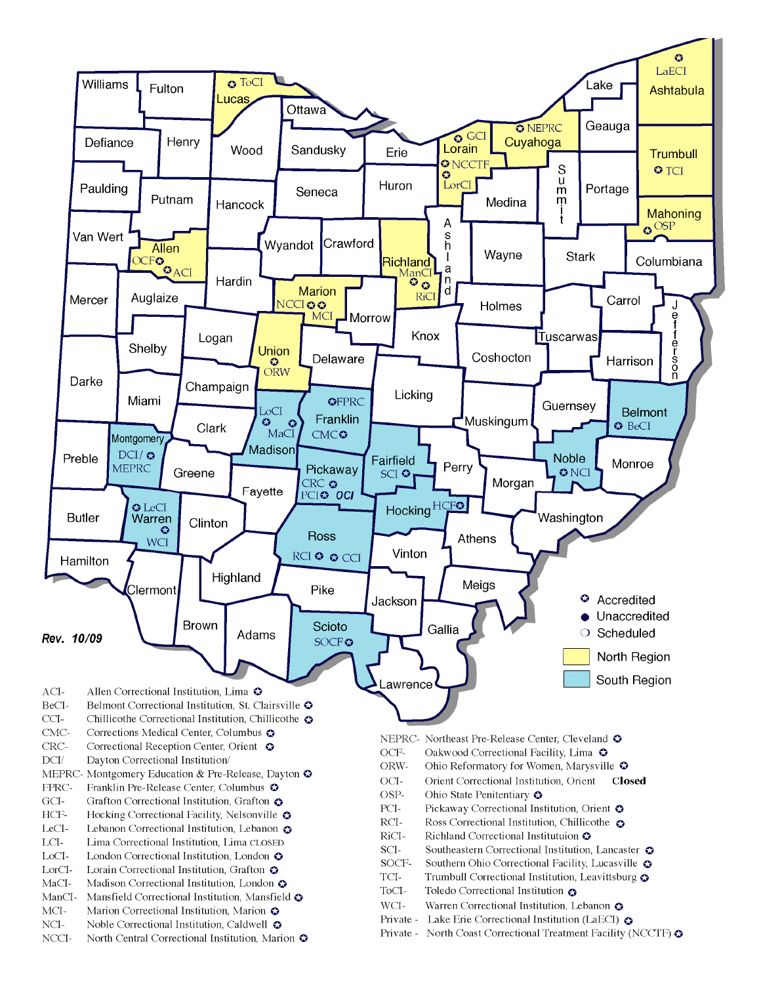